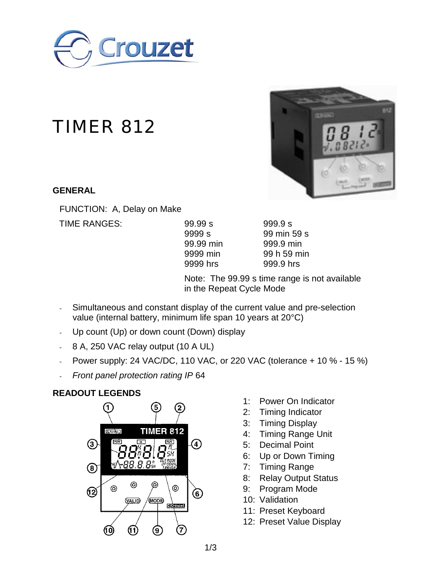

# TIMER 812

#### **GENERAL**

FUNCTION: A, Delay on Make

TIME RANGES: 99.99 s 999.9 s

| 99.99 s   |  |
|-----------|--|
| 9999 s    |  |
| 99.99 min |  |
| 9999 min  |  |
| 9999 hrs  |  |
|           |  |

99 min 59 s 999.9 min 99 h 59 min 999.9 hrs

Note: The 99.99 s time range is not available in the Repeat Cycle Mode

- Simultaneous and constant display of the current value and pre-selection value (internal battery, minimum life span 10 years at 20°C)
- Up count (Up) or down count (Down) display
- 8 A, 250 VAC relay output (10 A UL)
- Power supply: 24 VAC/DC, 110 VAC, or 220 VAC (tolerance + 10 % 15 %)
- *Front panel protection rating IP* 64

## **READOUT LEGENDS**



- 1: Power On Indicator
- 2: Timing Indicator
- 3: Timing Display
- 4: Timing Range Unit
- 5: Decimal Point
- 6: Up or Down Timing
- 7: Timing Range
- 8: Relay Output Status
- 9: Program Mode
- 10: Validation
- 11: Preset Keyboard
- 12: Preset Value Display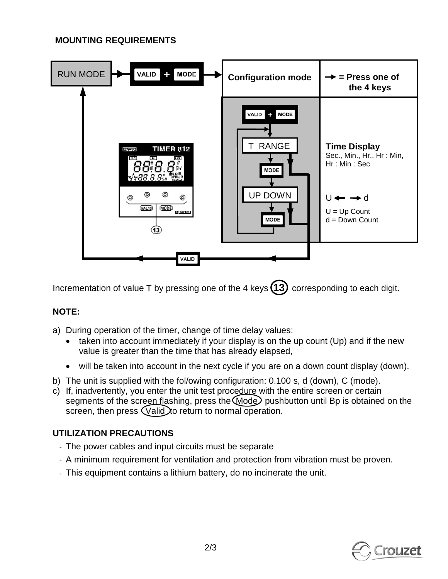#### **MOUNTING REQUIREMENTS**



Incrementation of value T by pressing one of the 4 keys (13) corresponding to each digit.

## **NOTE:**

- a) During operation of the timer, change of time delay values:
	- taken into account immediately if your display is on the up count (Up) and if the new value is greater than the time that has already elapsed,
	- will be taken into account in the next cycle if you are on a down count display (down).
- b) The unit is supplied with the fol/owing configuration: 0.100 s, d (down), C (mode).
- c) If, inadvertently, you enter the unit test procedure with the entire screen or certain segments of the screen flashing, press the Mode pushbutton until Bp is obtained on the screen, then press (Valid) to return to normal operation.

## **UTILIZATION PRECAUTIONS**

- The power cables and input circuits must be separate
- A minimum requirement for ventilation and protection from vibration must be proven.
- This equipment contains a lithium battery, do no incinerate the unit.